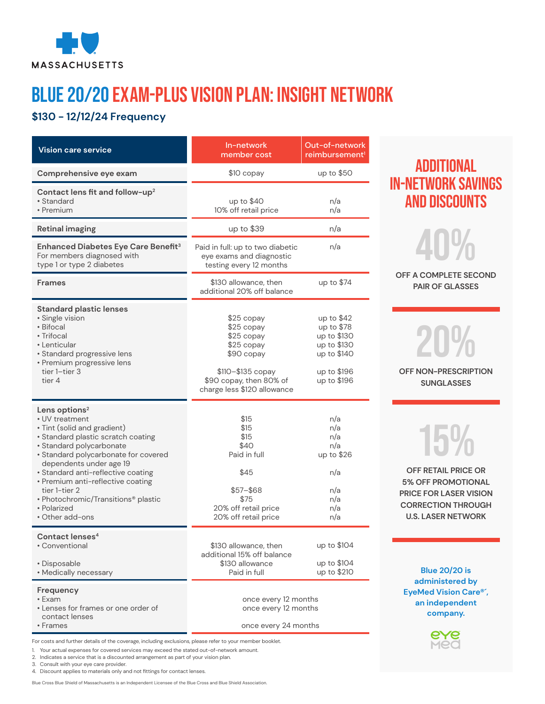

# BLUE 20/20 Exam-Plus Vision Plan: Insight Network

#### **\$130 - 12/12/24 Frequency**

| <b>Vision care service</b>                                                                                                                                                                                                                                                                                                                                                           | In-network<br>member cost                                                                                                                         | Out-of-network<br>reimbursement <sup>1</sup>                                                         |
|--------------------------------------------------------------------------------------------------------------------------------------------------------------------------------------------------------------------------------------------------------------------------------------------------------------------------------------------------------------------------------------|---------------------------------------------------------------------------------------------------------------------------------------------------|------------------------------------------------------------------------------------------------------|
| Comprehensive eye exam                                                                                                                                                                                                                                                                                                                                                               | \$10 copay                                                                                                                                        | up to \$50                                                                                           |
| Contact lens fit and follow-up <sup>2</sup><br>• Standard<br>• Premium                                                                                                                                                                                                                                                                                                               | up to $$40$<br>10% off retail price                                                                                                               | n/a<br>n/a                                                                                           |
| <b>Retinal imaging</b>                                                                                                                                                                                                                                                                                                                                                               | up to \$39                                                                                                                                        | n/a                                                                                                  |
| Enhanced Diabetes Eye Care Benefit <sup>3</sup><br>For members diagnosed with<br>type 1 or type 2 diabetes                                                                                                                                                                                                                                                                           | Paid in full: up to two diabetic<br>eye exams and diagnostic<br>testing every 12 months                                                           | n/a                                                                                                  |
| <b>Frames</b>                                                                                                                                                                                                                                                                                                                                                                        | \$130 allowance, then<br>additional 20% off balance                                                                                               | up to \$74                                                                                           |
| <b>Standard plastic lenses</b><br>· Single vision<br>• Bifocal<br>• Trifocal<br>• Lenticular<br>• Standard progressive lens<br>• Premium progressive lens<br>tier 1-tier 3<br>tier 4                                                                                                                                                                                                 | \$25 copay<br>\$25 copay<br>\$25 copay<br>\$25 copay<br>\$90 copay<br>\$110-\$135 copay<br>\$90 copay, then 80% of<br>charge less \$120 allowance | up to $$42$<br>up to \$78<br>up to \$130<br>up to \$130<br>up to \$140<br>up to \$196<br>up to \$196 |
| Lens options <sup>2</sup><br>• UV treatment<br>· Tint (solid and gradient)<br>• Standard plastic scratch coating<br>· Standard polycarbonate<br>· Standard polycarbonate for covered<br>dependents under age 19<br>• Standard anti-reflective coating<br>• Premium anti-reflective coating<br>tier 1-tier 2<br>• Photochromic/Transitions® plastic<br>• Polarized<br>• Other add-ons | \$15<br>\$15<br>\$15<br>\$40<br>Paid in full<br>\$45<br>$$57 - $68$<br>\$75<br>20% off retail price<br>20% off retail price                       | n/a<br>n/a<br>n/a<br>n/a<br>up to \$26<br>n/a<br>n/a<br>n/a<br>n/a<br>n/a                            |
| Contact lenses <sup>4</sup><br>• Conventional<br>· Disposable<br>• Medically necessary                                                                                                                                                                                                                                                                                               | \$130 allowance, then<br>additional 15% off balance<br>\$130 allowance<br>Paid in full                                                            | up to \$104<br>up to \$104<br>up to \$210                                                            |
| Frequency<br>• Exam<br>• Lenses for frames or one order of<br>contact lenses<br>• Frames                                                                                                                                                                                                                                                                                             | once every 12 months<br>once every 12 months<br>once every 24 months                                                                              |                                                                                                      |

For costs and further details of the coverage, including exclusions, please refer to your member booklet.

1. Your actual expenses for covered services may exceed the stated out-of-network amount.

2. Indicates a service that is a discounted arrangement as part of your vision plan.

3. Consult with your eye care provider.

4. Discount applies to materials only and not fittings for contact lenses.

Blue Cross Blue Shield of Massachusetts is an Independent Licensee of the Blue Cross and Blue Shield Association.

### **ADDITIONAL** in-network savings and discounts

40%

**OFF A COMPLETE SECOND PAIR OF GLASSES**

20% **OFF NON-PRESCRIPTION**

**SUNGLASSES**

# 15%

**OFF RETAIL PRICE OR 5% OFF PROMOTIONAL PRICE FOR LASER VISION CORRECTION THROUGH U.S. LASER NETWORK**

**Blue 20/20 is administered by EyeMed Vision Care®´, an independent company.**